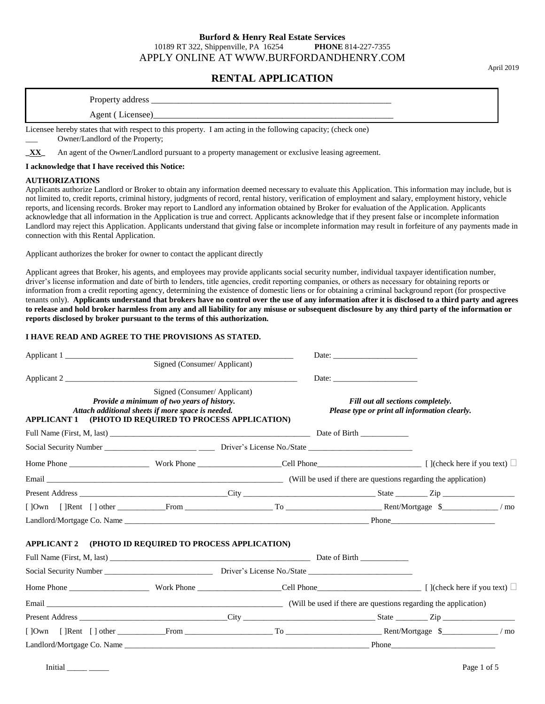#### **Burford & Henry Real Estate Services** 10189 RT 322, Shippenville, PA 16254 **PHONE** 814-227-7355 APPLY ONLINE AT WWW.BURFORDANDHENRY.COM

# **RENTAL APPLICATION**

Property address \_\_\_\_\_\_\_\_\_\_\_\_\_\_\_\_\_\_\_\_\_\_\_\_\_\_\_\_\_\_\_\_\_\_\_\_\_\_\_\_\_\_\_\_\_\_\_\_\_\_\_\_\_\_

Agent (Licensee)\_

Licensee hereby states that with respect to this property. I am acting in the following capacity; (check one) Owner/Landlord of the Property;

**\_XX\_** An agent of the Owner/Landlord pursuant to a property management or exclusive leasing agreement.

#### **I acknowledge that I have received this Notice:**

#### **AUTHORIZATIONS**

Applicants authorize Landlord or Broker to obtain any information deemed necessary to evaluate this Application. This information may include, but is not limited to, credit reports, criminal history, judgments of record, rental history, verification of employment and salary, employment history, vehicle reports, and licensing records. Broker may report to Landlord any information obtained by Broker for evaluation of the Application. Applicants acknowledge that all information in the Application is true and correct. Applicants acknowledge that if they present false or incomplete information Landlord may reject this Application. Applicants understand that giving false or incomplete information may result in forfeiture of any payments made in connection with this Rental Application.

Applicant authorizes the broker for owner to contact the applicant directly

Applicant agrees that Broker, his agents, and employees may provide applicants social security number, individual taxpayer identification number, driver's license information and date of birth to lenders, title agencies, credit reporting companies, or others as necessary for obtaining reports or information from a credit reporting agency, determining the existence of domestic liens or for obtaining a criminal background report (for prospective tenants only). **Applicants understand that brokers have no control over the use of any information after it is disclosed to a third party and agrees to release and hold broker harmless from any and all liability for any misuse or subsequent disclosure by any third party of the information or reports disclosed by broker pursuant to the terms of this authorization.**

#### **I HAVE READ AND AGREE TO THE PROVISIONS AS STATED.**

| Applicant 1                                                          |                                                                                                                                |  |                                   |                                               |  |
|----------------------------------------------------------------------|--------------------------------------------------------------------------------------------------------------------------------|--|-----------------------------------|-----------------------------------------------|--|
|                                                                      | Signed (Consumer/Applicant)                                                                                                    |  |                                   |                                               |  |
| Applicant 2                                                          |                                                                                                                                |  |                                   |                                               |  |
| <b>APPLICANT 1 (PHOTO ID REQUIRED TO PROCESS APPLICATION)</b>        | Signed (Consumer/Applicant)<br>Provide a minimum of two years of history.<br>Attach additional sheets if more space is needed. |  | Fill out all sections completely. | Please type or print all information clearly. |  |
|                                                                      |                                                                                                                                |  |                                   |                                               |  |
|                                                                      |                                                                                                                                |  |                                   |                                               |  |
|                                                                      |                                                                                                                                |  |                                   |                                               |  |
|                                                                      |                                                                                                                                |  |                                   |                                               |  |
|                                                                      |                                                                                                                                |  |                                   |                                               |  |
| []Own []Rent [] other From From To Communication of Rent/Mortgage \$ |                                                                                                                                |  |                                   |                                               |  |
|                                                                      |                                                                                                                                |  |                                   |                                               |  |
| <b>APPLICANT 2 (PHOTO ID REQUIRED TO PROCESS APPLICATION)</b>        |                                                                                                                                |  |                                   |                                               |  |
|                                                                      |                                                                                                                                |  |                                   |                                               |  |
|                                                                      |                                                                                                                                |  |                                   |                                               |  |
|                                                                      |                                                                                                                                |  |                                   |                                               |  |
|                                                                      |                                                                                                                                |  |                                   |                                               |  |
|                                                                      |                                                                                                                                |  |                                   |                                               |  |
| []Own []Rent [] other From From To German Rent/Mortgage \$           |                                                                                                                                |  |                                   |                                               |  |
|                                                                      |                                                                                                                                |  |                                   | $-\blacksquare$ Phone                         |  |

April 2019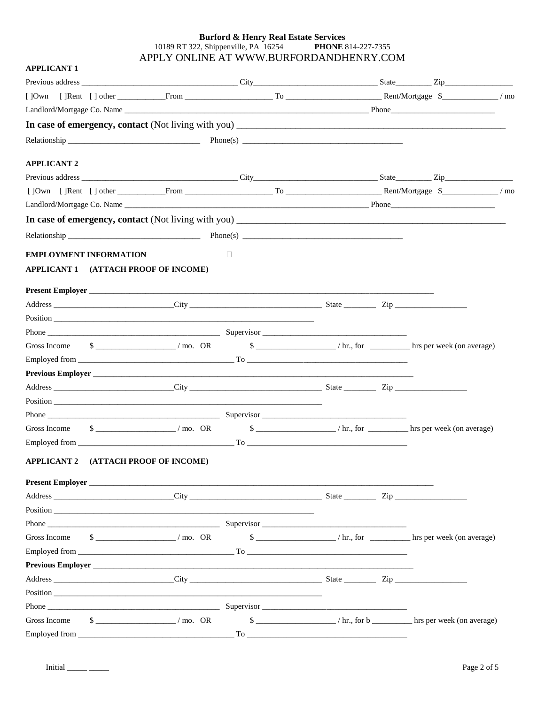# **Burford & Henry Real Estate Services**<br>10189 RT 322, Shippenville, PA 16254 **PHONE** 8 **PHONE 814-227-7355** APPLY ONLINE AT WWW.BURFORDANDHENRY.COM

| <b>APPLICANT 1</b> |                               |                                                                                                                                                                                                                                |        |  |                                                                                                                                                                                                                                                                                                                                       |  |
|--------------------|-------------------------------|--------------------------------------------------------------------------------------------------------------------------------------------------------------------------------------------------------------------------------|--------|--|---------------------------------------------------------------------------------------------------------------------------------------------------------------------------------------------------------------------------------------------------------------------------------------------------------------------------------------|--|
|                    |                               |                                                                                                                                                                                                                                |        |  |                                                                                                                                                                                                                                                                                                                                       |  |
|                    |                               |                                                                                                                                                                                                                                |        |  | []Own []Rent [] other From From From To General Content Rent/Mortgage \$                                                                                                                                                                                                                                                              |  |
|                    |                               |                                                                                                                                                                                                                                |        |  |                                                                                                                                                                                                                                                                                                                                       |  |
|                    |                               |                                                                                                                                                                                                                                |        |  |                                                                                                                                                                                                                                                                                                                                       |  |
|                    |                               |                                                                                                                                                                                                                                |        |  |                                                                                                                                                                                                                                                                                                                                       |  |
| <b>APPLICANT 2</b> |                               |                                                                                                                                                                                                                                |        |  |                                                                                                                                                                                                                                                                                                                                       |  |
|                    |                               |                                                                                                                                                                                                                                |        |  |                                                                                                                                                                                                                                                                                                                                       |  |
|                    |                               |                                                                                                                                                                                                                                |        |  | []Own []Rent [] other From From To German To Rent/Mortgage \$                                                                                                                                                                                                                                                                         |  |
|                    |                               |                                                                                                                                                                                                                                |        |  |                                                                                                                                                                                                                                                                                                                                       |  |
|                    |                               |                                                                                                                                                                                                                                |        |  |                                                                                                                                                                                                                                                                                                                                       |  |
|                    |                               |                                                                                                                                                                                                                                |        |  |                                                                                                                                                                                                                                                                                                                                       |  |
|                    | <b>EMPLOYMENT INFORMATION</b> |                                                                                                                                                                                                                                | $\Box$ |  |                                                                                                                                                                                                                                                                                                                                       |  |
|                    |                               | APPLICANT 1 (ATTACH PROOF OF INCOME)                                                                                                                                                                                           |        |  |                                                                                                                                                                                                                                                                                                                                       |  |
|                    |                               |                                                                                                                                                                                                                                |        |  |                                                                                                                                                                                                                                                                                                                                       |  |
|                    |                               |                                                                                                                                                                                                                                |        |  |                                                                                                                                                                                                                                                                                                                                       |  |
|                    |                               |                                                                                                                                                                                                                                |        |  |                                                                                                                                                                                                                                                                                                                                       |  |
|                    |                               |                                                                                                                                                                                                                                |        |  |                                                                                                                                                                                                                                                                                                                                       |  |
|                    |                               |                                                                                                                                                                                                                                |        |  | Gross Income $\frac{1}{2}$ = $\frac{1}{2}$ mo. OR $\frac{2}{2}$ = $\frac{1}{2}$ mo. OR $\frac{1}{2}$ hr., for $\frac{1}{2}$ hrs per week (on average)                                                                                                                                                                                 |  |
|                    |                               |                                                                                                                                                                                                                                |        |  |                                                                                                                                                                                                                                                                                                                                       |  |
|                    |                               | Previous Employer                                                                                                                                                                                                              |        |  |                                                                                                                                                                                                                                                                                                                                       |  |
|                    |                               |                                                                                                                                                                                                                                |        |  |                                                                                                                                                                                                                                                                                                                                       |  |
|                    |                               |                                                                                                                                                                                                                                |        |  |                                                                                                                                                                                                                                                                                                                                       |  |
|                    |                               | Phone Supervisor Supervisor Supervisor Supervisor Supervisor Supervisor Supervisor Supervisor Supervisor Supervisor Supervisor Supervisor Supervisor Supervisor Supervisor Supervisor Supervisor Supervisor Supervisor Supervi |        |  |                                                                                                                                                                                                                                                                                                                                       |  |
| Gross Income       |                               |                                                                                                                                                                                                                                |        |  | $\frac{\text{S}}{\text{S}}$ https://mo. OR $\frac{\text{S}}{\text{S}}$ https://mo. OR $\frac{\text{S}}{\text{S}}$ https://mo. OR $\frac{\text{S}}{\text{S}}$ https://mo. OR $\frac{\text{S}}{\text{S}}$ https://mo. OR $\frac{\text{S}}{\text{S}}$ https://mo. OR $\frac{\text{S}}{\text{S}}$ https://mo. OR $\frac{\text{S}}{\text{$ |  |
|                    |                               |                                                                                                                                                                                                                                |        |  |                                                                                                                                                                                                                                                                                                                                       |  |
|                    |                               | APPLICANT 2 (ATTACH PROOF OF INCOME)                                                                                                                                                                                           |        |  |                                                                                                                                                                                                                                                                                                                                       |  |
|                    |                               | Present Employer                                                                                                                                                                                                               |        |  |                                                                                                                                                                                                                                                                                                                                       |  |
|                    |                               |                                                                                                                                                                                                                                |        |  |                                                                                                                                                                                                                                                                                                                                       |  |
|                    |                               |                                                                                                                                                                                                                                |        |  |                                                                                                                                                                                                                                                                                                                                       |  |
|                    |                               |                                                                                                                                                                                                                                |        |  |                                                                                                                                                                                                                                                                                                                                       |  |
| Gross Income       |                               | $\frac{\text{S}}{\text{S}}$ (mo. OR)                                                                                                                                                                                           |        |  |                                                                                                                                                                                                                                                                                                                                       |  |
|                    |                               |                                                                                                                                                                                                                                |        |  |                                                                                                                                                                                                                                                                                                                                       |  |
|                    |                               |                                                                                                                                                                                                                                |        |  |                                                                                                                                                                                                                                                                                                                                       |  |
|                    |                               |                                                                                                                                                                                                                                |        |  |                                                                                                                                                                                                                                                                                                                                       |  |
|                    |                               |                                                                                                                                                                                                                                |        |  |                                                                                                                                                                                                                                                                                                                                       |  |
|                    |                               |                                                                                                                                                                                                                                |        |  |                                                                                                                                                                                                                                                                                                                                       |  |
| Gross Income       |                               | $\frac{\text{S}}{\text{S}}$ /mo. OR                                                                                                                                                                                            |        |  |                                                                                                                                                                                                                                                                                                                                       |  |
|                    |                               |                                                                                                                                                                                                                                |        |  |                                                                                                                                                                                                                                                                                                                                       |  |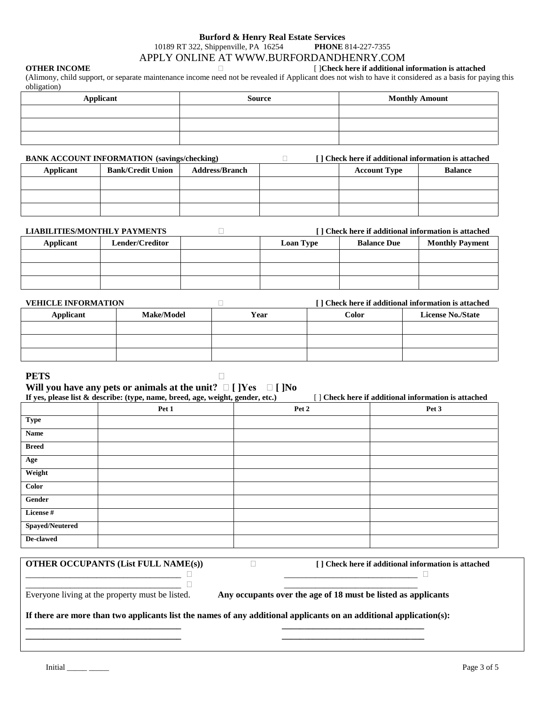#### **Burford & Henry Real Estate Services** 10189 RT 322, Shippenville, PA 16254 **PHONE** 814-227-7355 APPLY ONLINE AT WWW.BURFORDANDHENRY.COM

# **OTHER INCOME** [ ]**Check here if additional information is attached**

(Alimony, child support, or separate maintenance income need not be revealed if Applicant does not wish to have it considered as a basis for paying this obligation)

| Applicant | Source | <b>Monthly Amount</b> |  |  |
|-----------|--------|-----------------------|--|--|
|           |        |                       |  |  |
|           |        |                       |  |  |
|           |        |                       |  |  |

# **BANK ACCOUNT INFORMATION** (savings/checking) *i* **<b>i i c i c i c i c i c i c i c i c i c i c i c i c i c i c i c i c i c i c i c i c i c**

| <b>Applicant</b> | <b>Bank/Credit Union</b> | <b>Address/Branch</b> | <b>Account Type</b> | <b>Balance</b> |
|------------------|--------------------------|-----------------------|---------------------|----------------|
|                  |                          |                       |                     |                |
|                  |                          |                       |                     |                |
|                  |                          |                       |                     |                |

| LIABILITIES/MONTHLY PAYMENTS |                 |                  | [] Check here if additional information is attached |                        |
|------------------------------|-----------------|------------------|-----------------------------------------------------|------------------------|
| Applicant                    | Lender/Creditor | <b>Loan Type</b> | <b>Balance Due</b>                                  | <b>Monthly Payment</b> |
|                              |                 |                  |                                                     |                        |
|                              |                 |                  |                                                     |                        |
|                              |                 |                  |                                                     |                        |

| <b>VEHICLE INFORMATION</b> |                   |      |       | I Check here if additional information is attached |
|----------------------------|-------------------|------|-------|----------------------------------------------------|
| Applicant                  | <b>Make/Model</b> | Year | Color | <b>License No./State</b>                           |
|                            |                   |      |       |                                                    |
|                            |                   |      |       |                                                    |
|                            |                   |      |       |                                                    |

#### **PETS**

# **Will you have any pets or animals at the unit? [ ]Yes [ ]No**

|                 | If yes, please list & describe: (type, name, breed, age, weight, gender, etc.) |       | [] Check here if additional information is attached |
|-----------------|--------------------------------------------------------------------------------|-------|-----------------------------------------------------|
|                 | Pet 1                                                                          | Pet 2 | Pet 3                                               |
| <b>Type</b>     |                                                                                |       |                                                     |
| <b>Name</b>     |                                                                                |       |                                                     |
| <b>Breed</b>    |                                                                                |       |                                                     |
| Age             |                                                                                |       |                                                     |
| Weight          |                                                                                |       |                                                     |
| Color           |                                                                                |       |                                                     |
| Gender          |                                                                                |       |                                                     |
| License#        |                                                                                |       |                                                     |
| Spayed/Neutered |                                                                                |       |                                                     |
| De-clawed       |                                                                                |       |                                                     |

# **OTHER OCCUPANTS (List FULL NAME(s))**  $\Box$  [ ] Check here if additional information is attached

\_\_\_\_\_\_\_\_\_\_\_\_\_\_\_\_\_\_\_\_\_\_\_\_\_\_\_\_\_\_\_\_\_\_\_ \_\_\_\_\_\_\_\_\_\_\_\_\_\_\_\_\_\_\_\_\_\_\_\_\_\_\_\_\_\_

 $\frac{1}{\cdot}$  ,  $\frac{1}{\cdot}$  ,  $\frac{1}{\cdot}$  ,  $\frac{1}{\cdot}$ 

Everyone living at the property must be listed. **Any occupants over the age of 18 must be listed as applicants**

#### **If there are more than two applicants list the names of any additional applicants on an additional application(s):**

**\_\_\_\_\_\_\_\_\_\_\_\_\_\_\_\_\_\_\_\_\_\_\_\_\_\_\_\_\_\_\_\_\_\_\_ \_\_\_\_\_\_\_\_\_\_\_\_\_\_\_\_\_\_\_\_\_\_\_\_\_\_\_\_\_\_\_\_ \_\_\_\_\_\_\_\_\_\_\_\_\_\_\_\_\_\_\_\_\_\_\_\_\_\_\_\_\_\_\_\_\_\_\_ \_\_\_\_\_\_\_\_\_\_\_\_\_\_\_\_\_\_\_\_\_\_\_\_\_\_\_\_\_\_\_\_**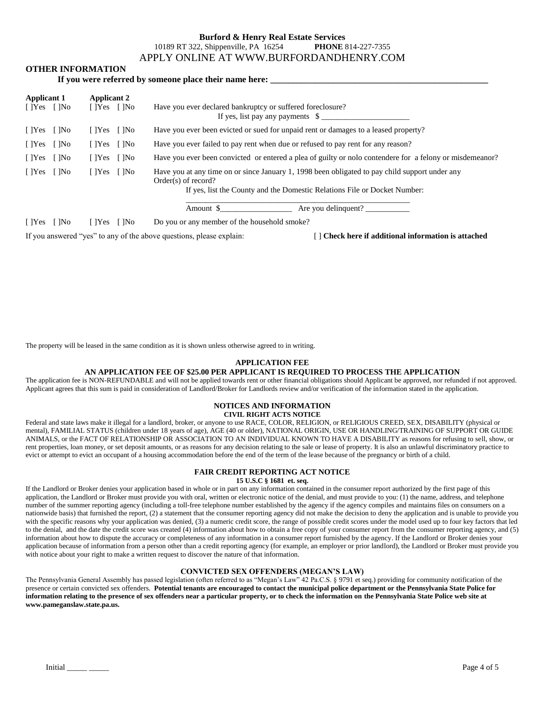#### **Burford & Henry Real Estate Services** 10189 RT 322, Shippenville, PA 16254 **PHONE** 814-227-7355 APPLY ONLINE AT WWW.BURFORDANDHENRY.COM

#### **OTHER INFORMATION**

|                                              |                                              | If you were referred by someone place their name here:                                                                                                                                               |
|----------------------------------------------|----------------------------------------------|------------------------------------------------------------------------------------------------------------------------------------------------------------------------------------------------------|
| <b>Applicant 1</b><br>$[$ $]$ Yes $[$ $]$ No | <b>Applicant 2</b><br>$[$ $]$ Yes $[$ $]$ No | Have you ever declared bankruptcy or suffered foreclosure?<br>If yes, list pay any payments $\$\$                                                                                                    |
| $\lceil$  Yes $\lceil$  No                   | $[$ $]$ Yes $[$ $]$ No                       | Have you ever been evicted or sued for unpaid rent or damages to a leased property?                                                                                                                  |
| $\lceil$  Yes $\lceil$  No                   | $[$  Yes $[$  No                             | Have you ever failed to pay rent when due or refused to pay rent for any reason?                                                                                                                     |
| $\lceil$  Yes $\lceil$  No                   | $[$  Yes $[$  No                             | Have you ever been convicted or entered a plea of guilty or not contendere for a felony or misdemean or?                                                                                             |
| $\lceil$  Yes $\lceil$  No                   | $[$ $]$ Yes $[$ $]$ No                       | Have you at any time on or since January 1, 1998 been obligated to pay child support under any<br>$Order(s)$ of record?<br>If yes, list the County and the Domestic Relations File or Docket Number: |
|                                              |                                              | Are you delinquent?<br>Amount \$                                                                                                                                                                     |
| $\lceil$  Yes $\lceil$  No                   | $[$ $]$ Yes $[$ $]$ No                       | Do you or any member of the household smoke?                                                                                                                                                         |
|                                              |                                              | If you answered "yes" to any of the above questions, please explain:<br>[] Check here if additional information is attached                                                                          |

The property will be leased in the same condition as it is shown unless otherwise agreed to in writing.

#### **APPLICATION FEE**

#### **AN APPLICATION FEE OF \$25.00 PER APPLICANT IS REQUIRED TO PROCESS THE APPLICATION**

The application fee is NON-REFUNDABLE and will not be applied towards rent or other financial obligations should Applicant be approved, nor refunded if not approved. Applicant agrees that this sum is paid in consideration of Landlord/Broker for Landlords review and/or verification of the information stated in the application.

### **NOTICES AND INFORMATION**

**CIVIL RIGHT ACTS NOTICE**

Federal and state laws make it illegal for a landlord, broker, or anyone to use RACE, COLOR, RELIGION, or RELIGIOUS CREED, SEX, DISABILITY (physical or mental), FAMILIAL STATUS (children under 18 years of age), AGE (40 or older), NATIONAL ORIGIN, USE OR HANDLING/TRAINING OF SUPPORT OR GUIDE ANIMALS, or the FACT OF RELATIONSHIP OR ASSOCIATION TO AN INDIVIDUAL KNOWN TO HAVE A DISABILITY as reasons for refusing to sell, show, or rent properties, loan money, or set deposit amounts, or as reasons for any decision relating to the sale or lease of property. It is also an unlawful discriminatory practice to evict or attempt to evict an occupant of a housing accommodation before the end of the term of the lease because of the pregnancy or birth of a child.

#### **FAIR CREDIT REPORTING ACT NOTICE**

**15 U.S.C § 1681 et. seq.**

If the Landlord or Broker denies your application based in whole or in part on any information contained in the consumer report authorized by the first page of this application, the Landlord or Broker must provide you with oral, written or electronic notice of the denial, and must provide to you: (1) the name, address, and telephone number of the summer reporting agency (including a toll-free telephone number established by the agency if the agency compiles and maintains files on consumers on a nationwide basis) that furnished the report, (2) a statement that the consumer reporting agency did not make the decision to deny the application and is unable to provide you with the specific reasons why your application was denied, (3) a numeric credit score, the range of possible credit scores under the model used up to four key factors that led to the denial, and the date the credit score was created (4) information about how to obtain a free copy of your consumer report from the consumer reporting agency, and (5) information about how to dispute the accuracy or completeness of any information in a consumer report furnished by the agency. If the Landlord or Broker denies your application because of information from a person other than a credit reporting agency (for example, an employer or prior landlord), the Landlord or Broker must provide you with notice about your right to make a written request to discover the nature of that information.

#### **CONVICTED SEX OFFENDERS (MEGAN'S LAW)**

The Pennsylvania General Assembly has passed legislation (often referred to as "Megan's Law" 42 Pa.C.S. § 9791 et seq.) providing for community notification of the presence or certain convicted sex offenders. **Potential tenants are encouraged to contact the municipal police department or the Pennsylvania State Police for information relating to the presence of sex offenders near a particular property, or to check the information on the Pennsylvania State Police web site at www.pameganslaw.state.pa.us.**